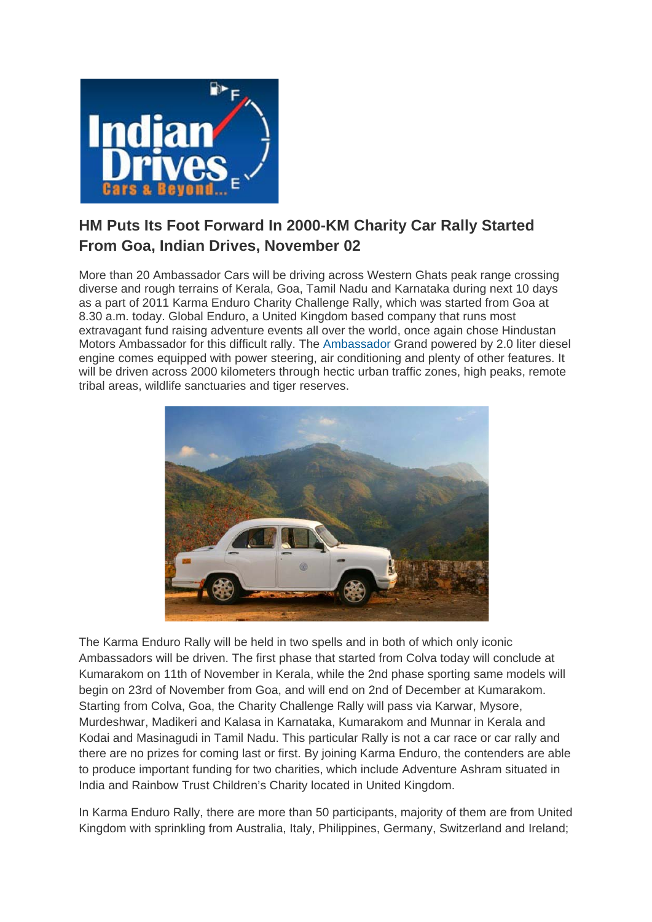

## **HM Puts Its Foot Forward In 2000-KM Charity Car Rally Started From Goa, Indian Drives, November 02**

More than 20 Ambassador Cars will be driving across Western Ghats peak range crossing diverse and rough terrains of Kerala, Goa, Tamil Nadu and Karnataka during next 10 days as a part of 2011 Karma Enduro Charity Challenge Rally, which was started from Goa at 8.30 a.m. today. Global Enduro, a United Kingdom based company that runs most extravagant fund raising adventure events all over the world, once again chose Hindustan Motors Ambassador for this difficult rally. The [Ambassador](http://www.indiandrives.com/hindustan-ambassador-to-get-botox-treatment.html) Grand powered by 2.0 liter diesel engine comes equipped with power steering, air conditioning and plenty of other features. It will be driven across 2000 kilometers through hectic urban traffic zones, high peaks, remote tribal areas, wildlife sanctuaries and tiger reserves.



The Karma Enduro Rally will be held in two spells and in both of which only iconic Ambassadors will be driven. The first phase that started from Colva today will conclude at Kumarakom on 11th of November in Kerala, while the 2nd phase sporting same models will begin on 23rd of November from Goa, and will end on 2nd of December at Kumarakom. Starting from Colva, Goa, the Charity Challenge Rally will pass via Karwar, Mysore, Murdeshwar, Madikeri and Kalasa in Karnataka, Kumarakom and Munnar in Kerala and Kodai and Masinagudi in Tamil Nadu. This particular Rally is not a car race or car rally and there are no prizes for coming last or first. By joining Karma Enduro, the contenders are able to produce important funding for two charities, which include Adventure Ashram situated in India and Rainbow Trust Children's Charity located in United Kingdom.

In Karma Enduro Rally, there are more than 50 participants, majority of them are from United Kingdom with sprinkling from Australia, Italy, Philippines, Germany, Switzerland and Ireland;